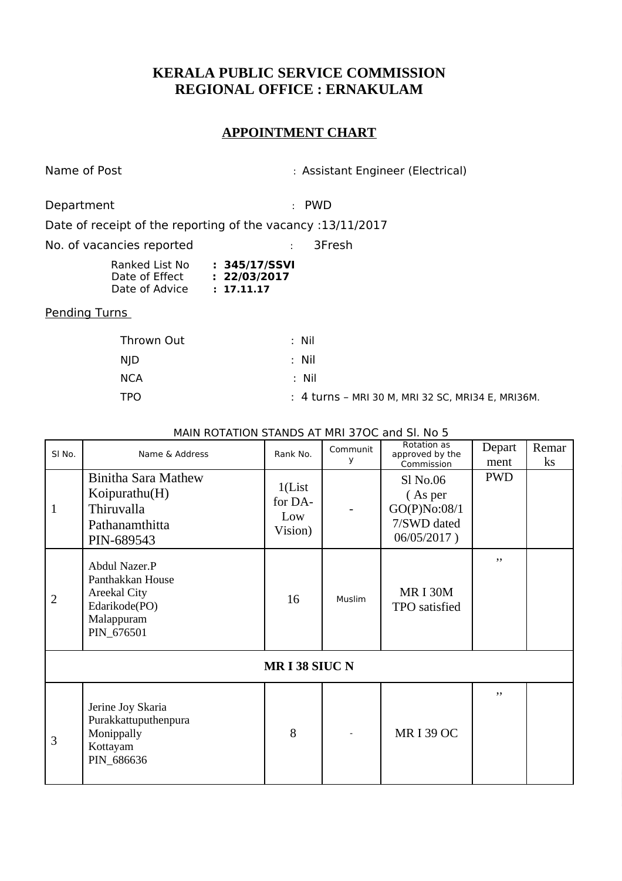## **KERALA PUBLIC SERVICE COMMISSION REGIONAL OFFICE : ERNAKULAM**

## **APPOINTMENT CHART**

Name of Post **in Assistant Engineer** (Electrical)

Department : PWD : PWD

Date of receipt of the reporting of the vacancy :13/11/2017

No. of vacancies reported : 3Fresh

| Ranked List No | : 345/17/SSVI |
|----------------|---------------|
| Date of Effect | : 22/03/2017  |
| Date of Advice | : 17.11.17    |

## Pending Turns

| Thrown Out | : Nil                                             |
|------------|---------------------------------------------------|
| NJD.       | : Nil                                             |
| <b>NCA</b> | : Nil                                             |
| <b>TPO</b> | : 4 turns - MRI 30 M, MRI 32 SC, MRI34 E, MRI36M. |

MAIN ROTATION STANDS AT MRI 37OC and Sl. No 5

| SI No.              | Name & Address                                                                                        | Rank No.                             | Communit<br>v | Rotation as<br>approved by the<br>Commission                      | Depart<br>ment | Remar<br>$\mathbf{k}$ s |  |
|---------------------|-------------------------------------------------------------------------------------------------------|--------------------------------------|---------------|-------------------------------------------------------------------|----------------|-------------------------|--|
| 1                   | <b>Binitha Sara Mathew</b><br>Koipurathu $(H)$<br>Thiruvalla<br>Pathanamthitta<br>PIN-689543          | 1(List)<br>for DA-<br>Low<br>Vision) |               | Sl No.06<br>(As per<br>GO(P)No:08/1<br>7/SWD dated<br>06/05/2017) | <b>PWD</b>     |                         |  |
| $\overline{2}$      | Abdul Nazer.P<br>Panthakkan House<br><b>Areekal City</b><br>Edarikode(PO)<br>Malappuram<br>PIN_676501 | 16                                   | Muslim        | <b>MRI30M</b><br><b>TPO</b> satisfied                             | ,,             |                         |  |
| <b>MRI38 SIUC N</b> |                                                                                                       |                                      |               |                                                                   |                |                         |  |
| 3                   | Jerine Joy Skaria<br>Purakkattuputhenpura<br>Monippally<br>Kottayam<br>PIN_686636                     | 8                                    |               | <b>MRI39 OC</b>                                                   | ,,             |                         |  |